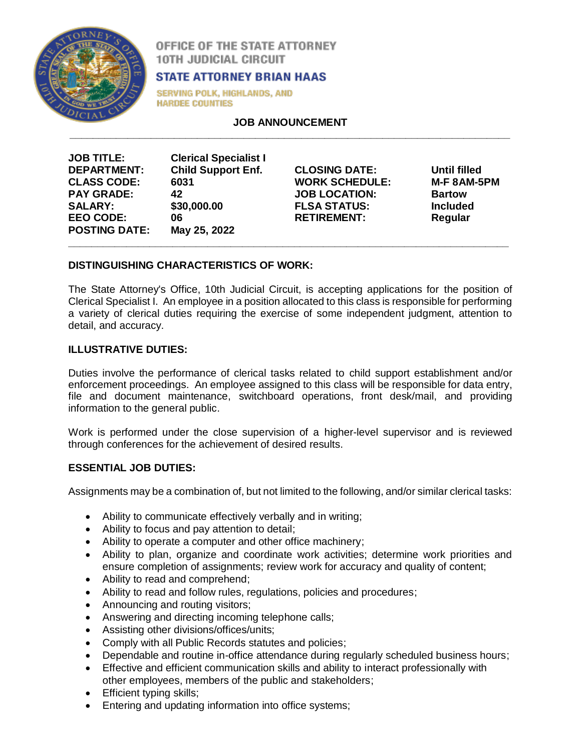

OFFICE OF THE STATE ATTORNEY **10TH JUDICIAL CIRCUIT** 

# **STATE ATTORNEY BRIAN HAAS**

**SERVING POLK, HIGHLANDS, AND HARDEE COUNTIES** 

**JOB ANNOUNCEMENT \_\_\_\_\_\_\_\_\_\_\_\_\_\_\_\_\_\_\_\_\_\_\_\_\_\_\_\_\_\_\_\_\_\_\_\_\_\_\_\_\_\_\_\_\_\_\_\_\_\_\_\_\_\_\_\_\_\_\_\_\_\_\_\_\_\_\_\_\_\_\_\_\_\_\_\_**

| <b>JOB TITLE:</b>    | <b>Clerical Specialist I</b> |
|----------------------|------------------------------|
| <b>DEPARTMENT:</b>   | <b>Child Support Enf.</b>    |
| <b>CLASS CODE:</b>   | 6031                         |
| <b>PAY GRADE:</b>    | 42                           |
| <b>SALARY:</b>       | \$30,000.00                  |
| <b>EEO CODE:</b>     | 06                           |
| <b>POSTING DATE:</b> | May 25, 2022                 |

**CLOSING DATE: Until filled WORK SCHEDULE: M-F 8AM-5PM JOB LOCATION: Bartow FLSA STATUS: Included RETIREMENT: Regular**

# **DISTINGUISHING CHARACTERISTICS OF WORK:**

The State Attorney's Office, 10th Judicial Circuit, is accepting applications for the position of Clerical Specialist I. An employee in a position allocated to this class is responsible for performing a variety of clerical duties requiring the exercise of some independent judgment, attention to detail, and accuracy.

**\_\_\_\_\_\_\_\_\_\_\_\_\_\_\_\_\_\_\_\_\_\_\_\_\_\_\_\_\_\_\_\_\_\_\_\_\_\_\_\_\_\_\_\_\_\_\_\_\_\_\_\_\_\_\_\_\_\_\_\_\_\_\_\_\_\_\_\_\_\_\_\_\_\_\_\_**

# **ILLUSTRATIVE DUTIES:**

Duties involve the performance of clerical tasks related to child support establishment and/or enforcement proceedings. An employee assigned to this class will be responsible for data entry, file and document maintenance, switchboard operations, front desk/mail, and providing information to the general public.

Work is performed under the close supervision of a higher-level supervisor and is reviewed through conferences for the achievement of desired results.

# **ESSENTIAL JOB DUTIES:**

Assignments may be a combination of, but not limited to the following, and/or similar clerical tasks:

- Ability to communicate effectively verbally and in writing;
- Ability to focus and pay attention to detail;
- Ability to operate a computer and other office machinery;
- Ability to plan, organize and coordinate work activities; determine work priorities and ensure completion of assignments; review work for accuracy and quality of content;
- Ability to read and comprehend;
- Ability to read and follow rules, regulations, policies and procedures;
- Announcing and routing visitors;
- Answering and directing incoming telephone calls;
- Assisting other divisions/offices/units;
- Comply with all Public Records statutes and policies;
- Dependable and routine in-office attendance during regularly scheduled business hours;
- Effective and efficient communication skills and ability to interact professionally with other employees, members of the public and stakeholders;
- Efficient typing skills;
- Entering and updating information into office systems;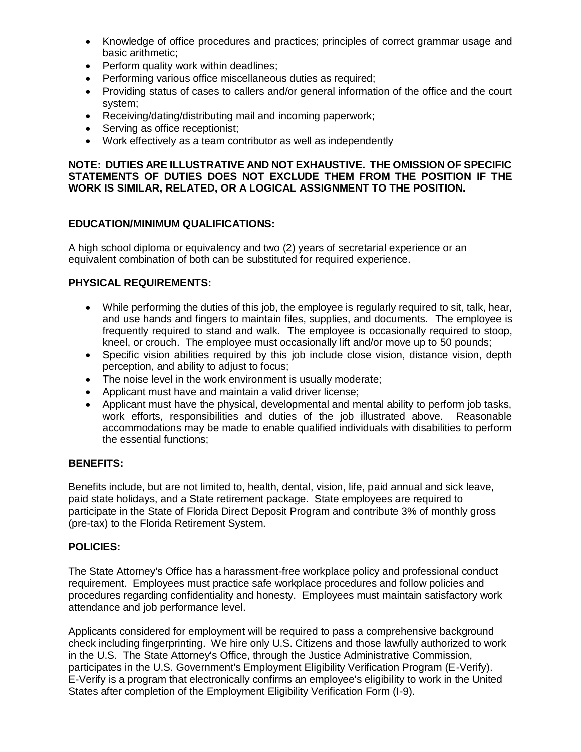- Knowledge of office procedures and practices; principles of correct grammar usage and basic arithmetic;
- Perform quality work within deadlines;
- Performing various office miscellaneous duties as required;
- Providing status of cases to callers and/or general information of the office and the court system;
- Receiving/dating/distributing mail and incoming paperwork;
- Serving as office receptionist;
- Work effectively as a team contributor as well as independently

#### **NOTE: DUTIES ARE ILLUSTRATIVE AND NOT EXHAUSTIVE. THE OMISSION OF SPECIFIC STATEMENTS OF DUTIES DOES NOT EXCLUDE THEM FROM THE POSITION IF THE WORK IS SIMILAR, RELATED, OR A LOGICAL ASSIGNMENT TO THE POSITION.**

### **EDUCATION/MINIMUM QUALIFICATIONS:**

A high school diploma or equivalency and two (2) years of secretarial experience or an equivalent combination of both can be substituted for required experience.

## **PHYSICAL REQUIREMENTS:**

- While performing the duties of this job, the employee is regularly required to sit, talk, hear, and use hands and fingers to maintain files, supplies, and documents. The employee is frequently required to stand and walk. The employee is occasionally required to stoop, kneel, or crouch. The employee must occasionally lift and/or move up to 50 pounds;
- Specific vision abilities required by this job include close vision, distance vision, depth perception, and ability to adjust to focus;
- The noise level in the work environment is usually moderate;
- Applicant must have and maintain a valid driver license;
- Applicant must have the physical, developmental and mental ability to perform job tasks, work efforts, responsibilities and duties of the job illustrated above. Reasonable accommodations may be made to enable qualified individuals with disabilities to perform the essential functions;

#### **BENEFITS:**

Benefits include, but are not limited to, health, dental, vision, life, paid annual and sick leave, paid state holidays, and a State retirement package. State employees are required to participate in the State of Florida Direct Deposit Program and contribute 3% of monthly gross (pre-tax) to the Florida Retirement System.

#### **POLICIES:**

The State Attorney's Office has a harassment-free workplace policy and professional conduct requirement. Employees must practice safe workplace procedures and follow policies and procedures regarding confidentiality and honesty. Employees must maintain satisfactory work attendance and job performance level.

Applicants considered for employment will be required to pass a comprehensive background check including fingerprinting. We hire only U.S. Citizens and those lawfully authorized to work in the U.S. The State Attorney's Office, through the Justice Administrative Commission, participates in the U.S. Government's Employment Eligibility Verification Program (E-Verify). E-Verify is a program that electronically confirms an employee's eligibility to work in the United States after completion of the Employment Eligibility Verification Form (I-9).